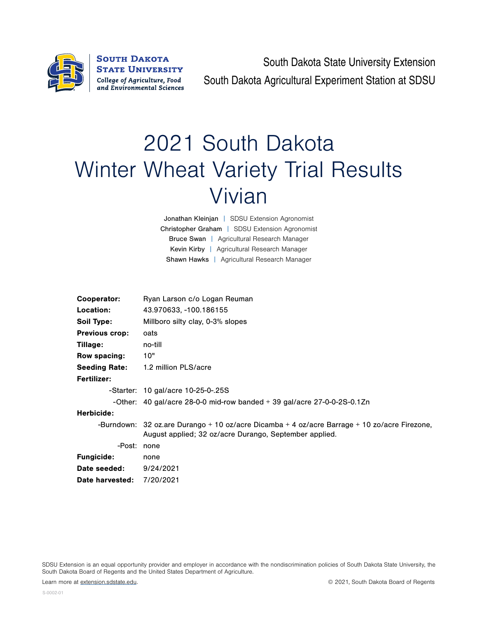

South Dakota State University Extension South Dakota Agricultural Experiment Station at SDSU

## 2021 South Dakota Winter Wheat Variety Trial Results Vivian

Jonathan Kleinjan | SDSU Extension Agronomist Christopher Graham | SDSU Extension Agronomist Bruce Swan | Agricultural Research Manager Kevin Kirby | Agricultural Research Manager Shawn Hawks | Agricultural Research Manager

| Cooperator:           | Ryan Larson c/o Logan Reuman                                                                                                                           |  |  |  |  |  |
|-----------------------|--------------------------------------------------------------------------------------------------------------------------------------------------------|--|--|--|--|--|
| Location:             | 43.970633, -100.186155                                                                                                                                 |  |  |  |  |  |
| Soil Type:            | Millboro silty clay, 0-3% slopes                                                                                                                       |  |  |  |  |  |
| <b>Previous crop:</b> | oats                                                                                                                                                   |  |  |  |  |  |
| Tillage:              | no-till                                                                                                                                                |  |  |  |  |  |
| Row spacing:          | 10"                                                                                                                                                    |  |  |  |  |  |
|                       | <b>Seeding Rate:</b> 1.2 million PLS/acre                                                                                                              |  |  |  |  |  |
| Fertilizer:           |                                                                                                                                                        |  |  |  |  |  |
|                       | -Starter: 10 gal/acre 10-25-0-.25S                                                                                                                     |  |  |  |  |  |
|                       | -Other: $40$ gal/acre 28-0-0 mid-row banded $+39$ gal/acre 27-0-0-2S-0.1Zn                                                                             |  |  |  |  |  |
| Herbicide:            |                                                                                                                                                        |  |  |  |  |  |
|                       | -Burndown: 32 oz.are Durango + 10 oz/acre Dicamba + 4 oz/acre Barrage + 10 zo/acre Firezone,<br>August applied; 32 oz/acre Durango, September applied. |  |  |  |  |  |
| -Post: none           |                                                                                                                                                        |  |  |  |  |  |
| <b>Fungicide:</b>     | none                                                                                                                                                   |  |  |  |  |  |
| Date seeded:          | 9/24/2021                                                                                                                                              |  |  |  |  |  |
| Date harvested:       | 7/20/2021                                                                                                                                              |  |  |  |  |  |

SDSU Extension is an equal opportunity provider and employer in accordance with the nondiscrimination policies of South Dakota State University, the South Dakota Board of Regents and the United States Department of Agriculture.